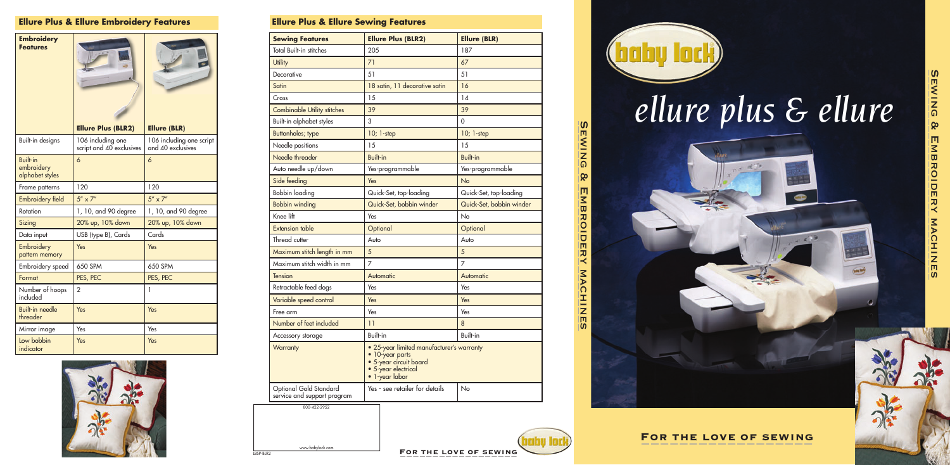



LBSP-BLR2

www.babylock.com



# *ellure plus & ellure*



FOR THE LOVE OF SEWING



| <b>Sewing Features</b>             | <b>Ellure Plus (BLR2)</b>                                                                                                       | <b>Ellure (BLR)</b>      |
|------------------------------------|---------------------------------------------------------------------------------------------------------------------------------|--------------------------|
| <b>Total Built-in stitches</b>     | 205                                                                                                                             | 187                      |
| <b>Utility</b>                     | 71                                                                                                                              | 67                       |
| Decorative                         | 51                                                                                                                              | 51                       |
| Satin                              | 18 satin, 11 decorative satin                                                                                                   | 16                       |
| Cross                              | 15                                                                                                                              | 14                       |
| <b>Combinable Utility stitches</b> | 39                                                                                                                              | 39                       |
| Built-in alphabet styles           | 3                                                                                                                               | $\overline{0}$           |
| <b>Buttonholes; type</b>           | $10; 1$ -step                                                                                                                   | $10; 1$ -step            |
| Needle positions                   | 15                                                                                                                              | 15                       |
| Needle threader                    | <b>Built-in</b>                                                                                                                 | <b>Built-in</b>          |
| Auto needle up/down                | Yes-programmable                                                                                                                | Yes-programmable         |
| Side feeding                       | Yes                                                                                                                             | No                       |
| <b>Bobbin loading</b>              | Quick-Set, top-loading                                                                                                          | Quick-Set, top-loading   |
| <b>Bobbin winding</b>              | Quick-Set, bobbin winder                                                                                                        | Quick-Set, bobbin winder |
| Knee lift                          | Yes                                                                                                                             | No                       |
| <b>Extension table</b>             | Optional                                                                                                                        | Optional                 |
| Thread cutter                      | Auto                                                                                                                            | Auto                     |
| Maximum stitch length in mm        | 5                                                                                                                               | 5                        |
| Maximum stitch width in mm         | 7                                                                                                                               | $\overline{7}$           |
| <b>Tension</b>                     | Automatic                                                                                                                       | Automatic                |
| Retractable feed dogs              | Yes                                                                                                                             | Yes                      |
| Variable speed control             | Yes                                                                                                                             | Yes                      |
| Free arm                           | Yes                                                                                                                             | Yes                      |
| Number of feet included            | 11                                                                                                                              | 8                        |
| Accessory storage                  | <b>Built-in</b>                                                                                                                 | <b>Built-in</b>          |
| <b>Warranty</b>                    | • 25-year limited manufacturer's warranty<br>• 10-year parts<br>• 5-year circuit board<br>· 5-year electrical<br>• 1-year labor |                          |
| Optional Gold Standard             | Yes - see retailer for details                                                                                                  | No                       |

| <b>Embroidery</b><br><b>Features</b>             |                                               |                                               |
|--------------------------------------------------|-----------------------------------------------|-----------------------------------------------|
|                                                  | <b>Ellure Plus (BLR2)</b>                     | <b>Ellure (BLR)</b>                           |
| <b>Built-in designs</b>                          | 106 including one<br>script and 40 exclusives | 106 including one script<br>and 40 exclusives |
| <b>Built-in</b><br>embroidery<br>alphabet styles | 6                                             | 6                                             |
| Frame patterns                                   | 120                                           | 120                                           |
| <b>Embroidery field</b>                          | $5'' \times 7''$                              | $5'' \times 7''$                              |
| Rotation                                         | 1, 10, and 90 degree                          | 1, 10, and 90 degree                          |
| Sizing                                           | 20% up, 10% down                              | 20% up, 10% down                              |
| Data input                                       | USB (type B), Cards                           | Cards                                         |
| Embroidery<br>pattern memory                     | Yes                                           | Yes                                           |
| Embroidery speed                                 | 650 SPM                                       | 650 SPM                                       |
| Format                                           | PES, PEC                                      | PES, PEC                                      |
| Number of hoops<br>included                      | $\overline{2}$                                |                                               |
| <b>Built-in needle</b><br>threader               | Yes                                           | Yes                                           |
| Mirror image                                     | Yes                                           | Yes                                           |
| Low bobbin<br>indicator                          | Yes                                           | Yes                                           |



# **Ellure Plus & Ellure Embroidery Features Ellure Plus & Ellure Sewing Features**